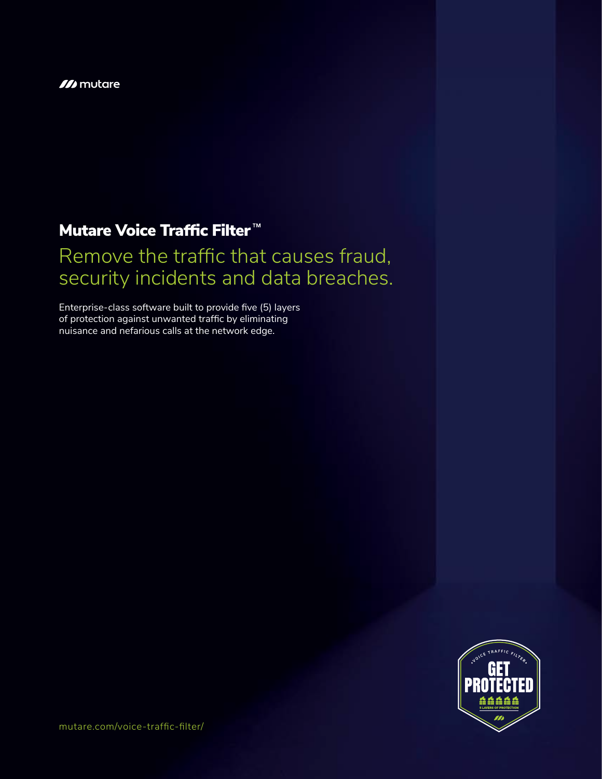#### **M** mutare

## **Mutare Voice Traffic Filter<sup>M</sup>**

# Remove the traffic that causes fraud, security incidents and data breaches.

Enterprise-class software built to provide five (5) layers of protection against unwanted traffic by eliminating nuisance and nefarious calls at the network edge.



mutare.com/voice-traffic-filter/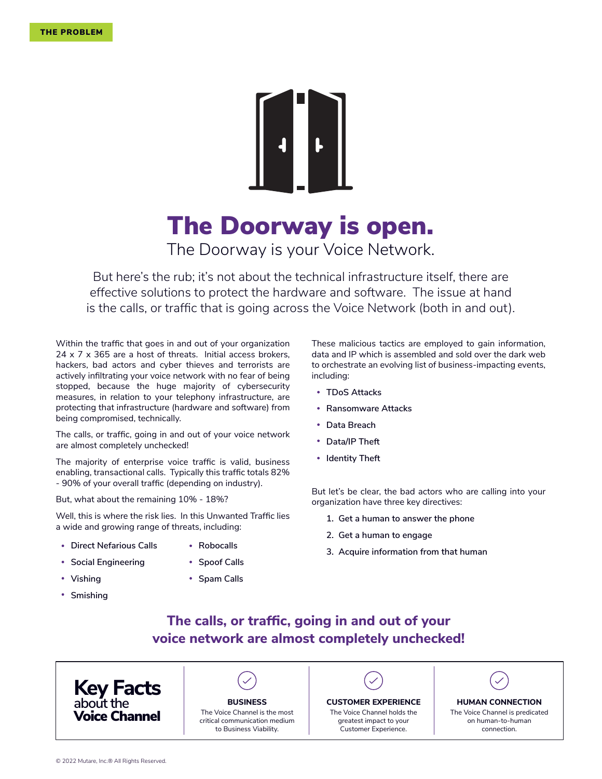

# The Doorway is open.

The Doorway is your Voice Network.

But here's the rub; it's not about the technical infrastructure itself, there are effective solutions to protect the hardware and software. The issue at hand is the calls, or traffic that is going across the Voice Network (both in and out).

Within the traffic that goes in and out of your organization 24 x 7 x 365 are a host of threats. Initial access brokers, hackers, bad actors and cyber thieves and terrorists are actively infiltrating your voice network with no fear of being stopped, because the huge majority of cybersecurity measures, in relation to your telephony infrastructure, are protecting that infrastructure (hardware and software) from being compromised, technically.

The calls, or traffic, going in and out of your voice network are almost completely unchecked!

The majority of enterprise voice traffic is valid, business enabling, transactional calls. Typically this traffic totals 82% - 90% of your overall traffic (depending on industry).

But, what about the remaining 10% - 18%?

Well, this is where the risk lies. In this Unwanted Traffic lies a wide and growing range of threats, including:

- **Direct Nefarious Calls Robocalls**
- **Social Engineering**
- **Spoof Calls**
- **Vishing**
- 
- **Spam Calls**
- **Smishing**

These malicious tactics are employed to gain information, data and IP which is assembled and sold over the dark web to orchestrate an evolving list of business-impacting events, including:

- **TDoS Attacks**
- **Ransomware Attacks**
- **Data Breach**
- **Data/IP Theft**
- **•** Identity Theft

But let's be clear, the bad actors who are calling into your organization have three key directives:

- **1. Get a human to answer the phone**
- **2. Get a human to engage**
- **3. Acquire information from that human**
- **The calls, or traffic, going in and out of your voice network are almost completely unchecked!**

**Key Facts about the**



#### **Voice Channel** The Voice Channel is the most critical communication medium to Business Viability.

The Voice Channel holds the greatest impact to your Customer Experience.

The Voice Channel is predicated **BUSINESS CUSTOMER EXPERIENCE HUMAN CONNECTION**

on human-to-human connection.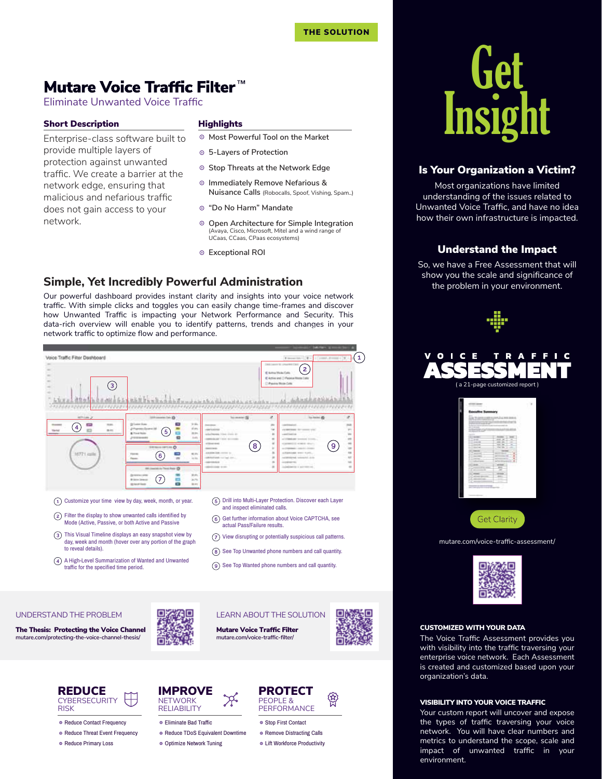Eliminate Unwanted Voice Traffic

#### Short Description **Highlights**

provide multiple layers of protection against unwanted traffic. We create a barrier at the network edge, ensuring that malicious and nefarious traffic does not gain access to your network.

- **Most Powerful Tool on the Market**
- **5-Layers of Protection**
- **Stop Threats at the Network Edge**
- **Immediately Remove Nefarious & Nuisance Calls** (Robocalls, Spoof, Vishing, Spam..)
- **"Do No Harm" Mandate**
- **Open Architecture for Simple Integration**  (Avaya, Cisco, Microsoft, Mitel and a wind range of UCaas, CCaas, CPaas ecosystems)
- **Exceptional ROI**

### **Simple, Yet Incredibly Powerful Administration**

Our powerful dashboard provides instant clarity and insights into your voice network traffic. With simple clicks and toggles you can easily change time-frames and discover how Unwanted Traffic is impacting your Network Performance and Security. This data-rich overview will enable you to identify patterns, trends and changes in your **1** network traffic to optimize flow and performance.



- This Visual Timeline displays an easy snapshot view by
- day, week and month (hover over any portion of the graph to reveal details).
- A High-Level Summarization of Wanted and Unwanted traffic for the specified time period.
- actual Pass/Failure results.
- $(7)$  View disrupting or potentially suspicious call patterns.
- (8) See Top Unwanted phone numbers and call quantity.
- See Top Wanted phone numbers and call quantity.

LEARN ABOUT THE SOLUTION

#### UNDERSTAND THE PROBLEM

**mutare.com/protecting-the-voice-channel-thesis/** The Thesis: Protecting the Voice Channel







REDUCE **CYBERSECURITY** RISK

◎ Reduce Contact Frequency

- ◎ Reduce Threat Event Frequency
- Reduce Primary Loss



- Eliminate Bad Traffic
- Reduce TDoS Equivalent Downtime
- Optimize Network Tuning



- Stop First Contact
- Remove Distracting Calls
- Lift Workforce Productivity



#### Is Your Organization a Victim?

Most organizations have limited understanding of the issues related to Unwanted Voice Traffic, and have no idea how their own infrastructure is impacted.

#### Understand the Impact

So, we have a Free Assessment that will show you the scale and significance of the problem in your environment.







mutare.com/voice-traffic-assessment/



#### CUSTOMIZED WITH YOUR DATA

The Voice Traffic Assessment provides you with visibility into the traffic traversing your enterprise voice network. Each Assessment is created and customized based upon your organization's data.

#### VISIBILITY INTO YOUR VOICE TRAFFIC

Your custom report will uncover and expose the types of traffic traversing your voice network. You will have clear numbers and metrics to understand the scope, scale and impact of unwanted traffic in your environment.